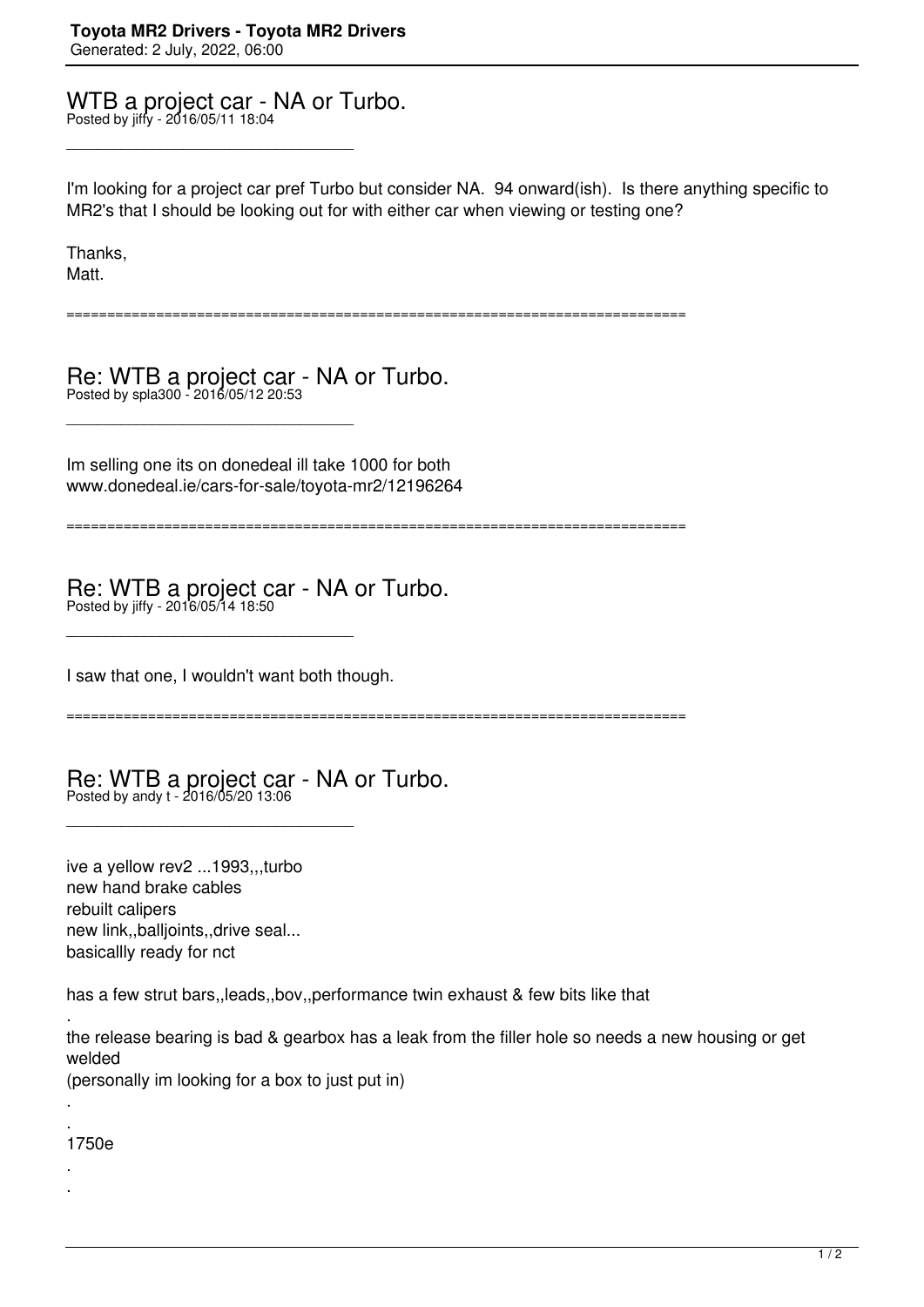## WTB a project car - NA or Turbo. Posted by jiffy - 2016/05/11 18:04

\_\_\_\_\_\_\_\_\_\_\_\_\_\_\_\_\_\_\_\_\_\_\_\_\_\_\_\_\_\_\_\_\_\_\_\_\_

\_\_\_\_\_\_\_\_\_\_\_\_\_\_\_\_\_\_\_\_\_\_\_\_\_\_\_\_\_\_\_\_\_\_\_\_\_

I'm looking for a project car pref Turbo but consider NA. 94 onward(ish). Is there anything specific to MR2's that I should be looking out for with either car when viewing or testing one?

Thanks, Matt.

============================================================================

Re: WTB a project car - NA or Turbo. Posted by spla300 - 2016/05/12 20:53

Im selling one its on donedeal ill take 1000 for both www.donedeal.ie/cars-for-sale/toyota-mr2/12196264

============================================================================

Re: WTB a project car - NA or Turbo. Posted by jiffy - 2016/05/14 18:50

I saw that one, I wouldn't want both though.

\_\_\_\_\_\_\_\_\_\_\_\_\_\_\_\_\_\_\_\_\_\_\_\_\_\_\_\_\_\_\_\_\_\_\_\_\_

\_\_\_\_\_\_\_\_\_\_\_\_\_\_\_\_\_\_\_\_\_\_\_\_\_\_\_\_\_\_\_\_\_\_\_\_\_

============================================================================

Re: WTB a project car - NA or Turbo. Posted by andy t - 2016/05/20 13:06

ive a yellow rev2 ...1993,,,turbo new hand brake cables rebuilt calipers new link,,balljoints,,drive seal... basicallly ready for nct

has a few strut bars,,leads,,bov,,performance twin exhaust & few bits like that

. the release bearing is bad & gearbox has a leak from the filler hole so needs a new housing or get welded (personally im looking for a box to just put in)

. 1750e

.

. .